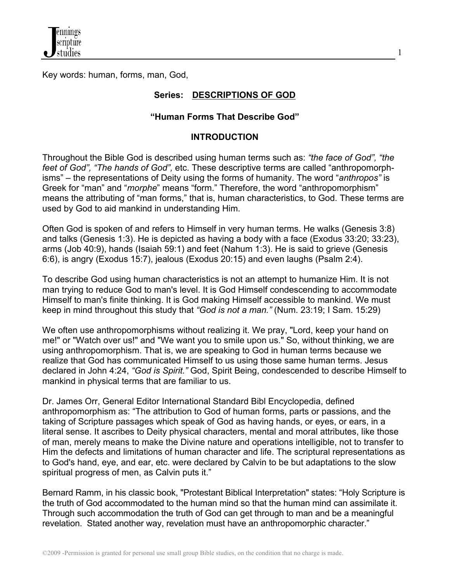

Key words: human, forms, man, God,

## **Series: DESCRIPTIONS OF GOD**

1

## **"Human Forms That Describe God"**

## **INTRODUCTION**

Throughout the Bible God is described using human terms such as: *"the face of God", "the feet of God", "The hands of God",* etc. These descriptive terms are called "anthropomorphisms" – the representations of Deity using the forms of humanity. The word "*anthropos"* is Greek for "man" and "*morphe*" means "form." Therefore, the word "anthropomorphism" means the attributing of "man forms," that is, human characteristics, to God. These terms are used by God to aid mankind in understanding Him.

Often God is spoken of and refers to Himself in very human terms. He walks (Genesis 3:8) and talks (Genesis 1:3). He is depicted as having a body with a face (Exodus 33:20; 33:23), arms (Job 40:9), hands (Isaiah 59:1) and feet (Nahum 1:3). He is said to grieve (Genesis 6:6), is angry (Exodus 15:7), jealous (Exodus 20:15) and even laughs (Psalm 2:4).

To describe God using human characteristics is not an attempt to humanize Him. It is not man trying to reduce God to man's level. It is God Himself condescending to accommodate Himself to man's finite thinking. It is God making Himself accessible to mankind. We must keep in mind throughout this study that *"God is not a man."* (Num. 23:19; I Sam. 15:29)

We often use anthropomorphisms without realizing it. We pray, "Lord, keep your hand on me!" or "Watch over us!" and "We want you to smile upon us." So, without thinking, we are using anthropomorphism. That is, we are speaking to God in human terms because we realize that God has communicated Himself to us using those same human terms. Jesus declared in John 4:24, *"God is Spirit."* God, Spirit Being, condescended to describe Himself to mankind in physical terms that are familiar to us.

Dr. James Orr, General Editor International Standard Bibl Encyclopedia, defined anthropomorphism as: "The attribution to God of human forms, parts or passions, and the taking of Scripture passages which speak of God as having hands, or eyes, or ears, in a literal sense. It ascribes to Deity physical characters, mental and moral attributes, like those of man, merely means to make the Divine nature and operations intelligible, not to transfer to Him the defects and limitations of human character and life. The scriptural representations as to God's hand, eye, and ear, etc. were declared by Calvin to be but adaptations to the slow spiritual progress of men, as Calvin puts it."

Bernard Ramm, in his classic book, "Protestant Biblical Interpretation" states: "Holy Scripture is the truth of God accommodated to the human mind so that the human mind can assimilate it. Through such accommodation the truth of God can get through to man and be a meaningful revelation. Stated another way, revelation must have an anthropomorphic character."